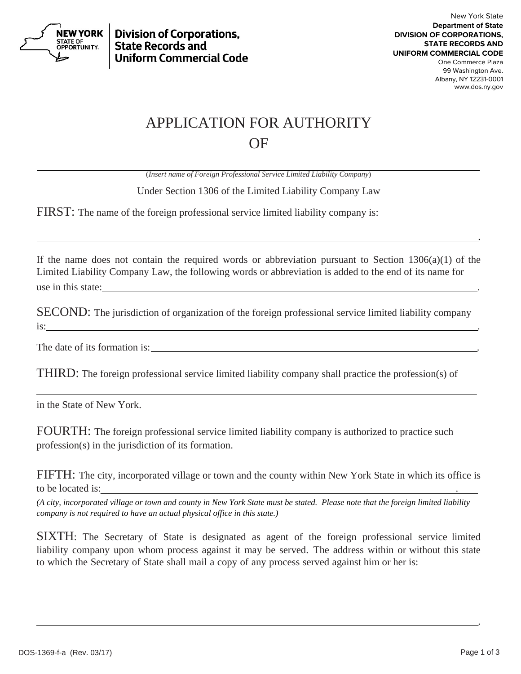

**Division of Corporations. State Records and Uniform Commercial Code** 

## APPLICATION FOR AUTHORITY OF

(*Insert name of Foreign Professional Service Limited Liability Company*)

Under Section 1306 of the Limited Liability Company Law

FIRST: The name of the foreign professional service limited liability company is:

If the name does not contain the required words or abbreviation pursuant to Section  $1306(a)(1)$  of the Limited Liability Company Law, the following words or abbreviation is added to the end of its name for use in this state:

.

SECOND: The jurisdiction of organization of the foreign professional service limited liability company  $\frac{1}{1}$  is:

The date of its formation is:

THIRD: The foreign professional service limited liability company shall practice the profession(s) of

in the State of New York.

FOURTH: The foreign professional service limited liability company is authorized to practice such profession(s) in the jurisdiction of its formation.

FIFTH: The city, incorporated village or town and the county within New York State in which its office is to be located is:

*(A city, incorporated village or town and county in New York State must be stated. Please note that the foreign limited liability company is not required to have an actual physical office in this state.)* 

SIXTH: The Secretary of State is designated as agent of the foreign professional service limited liability company upon whom process against it may be served. The address within or without this state to which the Secretary of State shall mail a copy of any process served against him or her is:

<u>. Andre Sterne and Sterne and Sterne and Sterne and Sterne and Sterne and Sterne and Sterne and Sterne and St</u>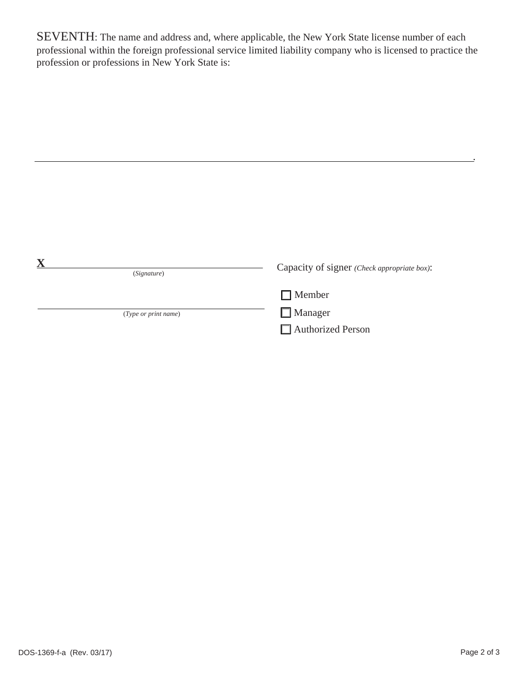SEVENTH: The name and address and, where applicable, the New York State license number of each professional within the foreign professional service limited liability company who is licensed to practice the profession or professions in New York State is:

<u>. Andre Stadt i den stadt i den stadt i den stadt i den stadt i den stadt i den stadt i den stadt i den stadt</u>

| (Signature)          | Capacity of signer (Check appropriate box): |
|----------------------|---------------------------------------------|
|                      | $\Box$ Member                               |
| (Type or print name) | $\Box$ Manager                              |
|                      | Authorized Person                           |